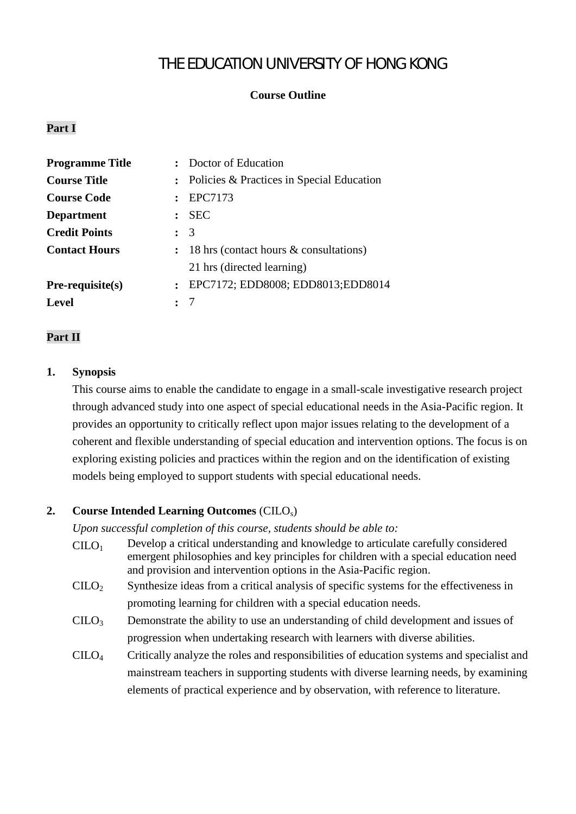# THE EDUCATION UNIVERSITY OF HONG KONG

# **Course Outline**

### **Part I**

| <b>Programme Title</b> | : Doctor of Education                              |
|------------------------|----------------------------------------------------|
| <b>Course Title</b>    | : Policies & Practices in Special Education        |
| <b>Course Code</b>     | : EPC7173                                          |
| <b>Department</b>      | <b>SEC</b><br>$\mathbf{r}$                         |
| <b>Credit Points</b>   | $\therefore$ 3                                     |
| <b>Contact Hours</b>   | $: 18 \text{ hrs}$ (contact hours & consultations) |
|                        | 21 hrs (directed learning)                         |
| $Pre-requisite(s)$     | : EPC7172; EDD8008; EDD8013; EDD8014               |
| <b>Level</b>           |                                                    |

### **Part II**

#### **1. Synopsis**

This course aims to enable the candidate to engage in a small-scale investigative research project through advanced study into one aspect of special educational needs in the Asia-Pacific region. It provides an opportunity to critically reflect upon major issues relating to the development of a coherent and flexible understanding of special education and intervention options. The focus is on exploring existing policies and practices within the region and on the identification of existing models being employed to support students with special educational needs.

### **2. Course Intended Learning Outcomes** (CILOs)

*Upon successful completion of this course, students should be able to:*

- $CIIO<sub>1</sub>$  Develop a critical understanding and knowledge to articulate carefully considered emergent philosophies and key principles for children with a special education need and provision and intervention options in the Asia-Pacific region.
- $C I L O<sub>2</sub>$  Synthesize ideas from a critical analysis of specific systems for the effectiveness in promoting learning for children with a special education needs.
- $CILO<sub>3</sub>$  Demonstrate the ability to use an understanding of child development and issues of progression when undertaking research with learners with diverse abilities.
- CILO<sup>4</sup> Critically analyze the roles and responsibilities of education systems and specialist and mainstream teachers in supporting students with diverse learning needs, by examining elements of practical experience and by observation, with reference to literature.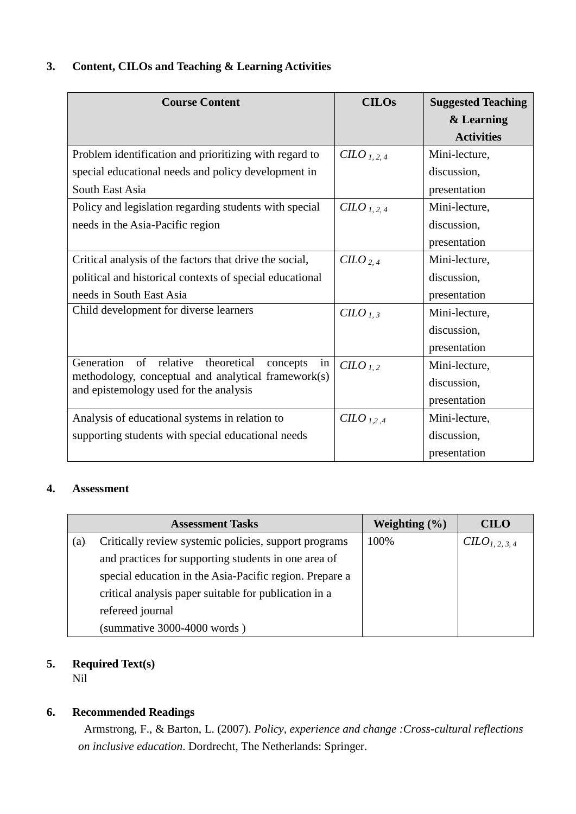# **3. Content, CILOs and Teaching & Learning Activities**

| <b>Course Content</b>                                                                         | <b>CILOs</b>                   | <b>Suggested Teaching</b> |
|-----------------------------------------------------------------------------------------------|--------------------------------|---------------------------|
|                                                                                               |                                | & Learning                |
|                                                                                               |                                | <b>Activities</b>         |
| Problem identification and prioritizing with regard to                                        | C <i>LO</i> <sub>1, 2, 4</sub> | Mini-lecture,             |
| special educational needs and policy development in                                           |                                | discussion,               |
| South East Asia                                                                               |                                | presentation              |
| Policy and legislation regarding students with special                                        | $C L O L 2, 4$                 | Mini-lecture,             |
| needs in the Asia-Pacific region                                                              |                                | discussion,               |
|                                                                                               |                                | presentation              |
| Critical analysis of the factors that drive the social,                                       | $CHLO_{2.4}$                   | Mini-lecture,             |
| political and historical contexts of special educational                                      |                                | discussion,               |
| needs in South East Asia                                                                      |                                | presentation              |
| Child development for diverse learners                                                        | CHO <sub>1,3</sub>             | Mini-lecture,             |
|                                                                                               |                                | discussion,               |
|                                                                                               |                                | presentation              |
| Generation<br>relative<br>of<br>theoretical<br>concepts<br>in                                 | $CLO_{1,2}$                    | Mini-lecture,             |
| methodology, conceptual and analytical framework(s)<br>and epistemology used for the analysis |                                | discussion,               |
|                                                                                               |                                | presentation              |
| Analysis of educational systems in relation to                                                | C <i>LO</i> <sub>1,2,4</sub>   | Mini-lecture,             |
| supporting students with special educational needs                                            |                                | discussion,               |
|                                                                                               |                                | presentation              |

# **4. Assessment**

| <b>Assessment Tasks</b>                                 |                                                       | Weighting $(\% )$ | <b>CILO</b>     |
|---------------------------------------------------------|-------------------------------------------------------|-------------------|-----------------|
| (a)                                                     | Critically review systemic policies, support programs | 100%              | $CLO_{1,2,3,4}$ |
|                                                         | and practices for supporting students in one area of  |                   |                 |
| special education in the Asia-Pacific region. Prepare a |                                                       |                   |                 |
|                                                         | critical analysis paper suitable for publication in a |                   |                 |
|                                                         | refereed journal                                      |                   |                 |
|                                                         | $(summative 3000-4000 words)$                         |                   |                 |

# **5. Required Text(s)**

Nil

# **6. Recommended Readings**

Armstrong, F., & Barton, L. (2007). *Policy, experience and change :Cross-cultural reflections on inclusive education*. Dordrecht, The Netherlands: Springer.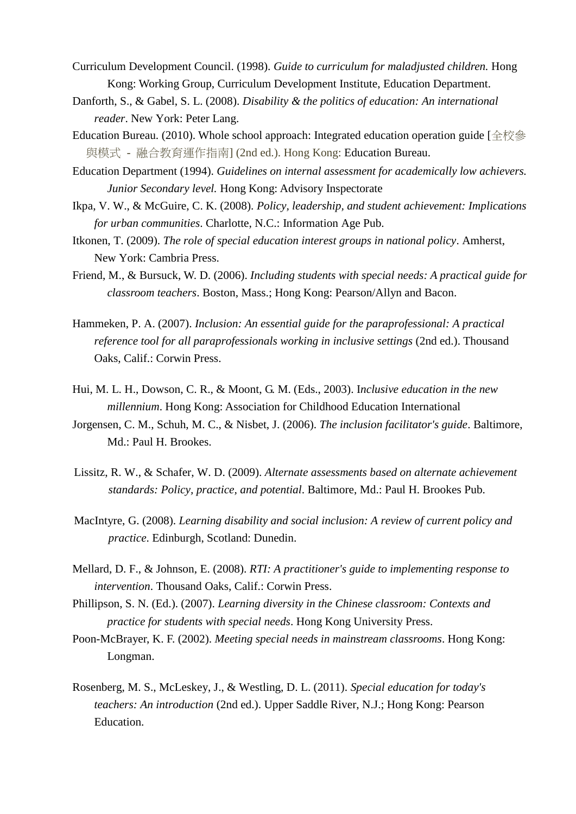- Curriculum Development Council. (1998). *Guide to curriculum for maladjusted children.* Hong Kong: Working Group, Curriculum Development Institute, Education Department.
- Danforth, S., & Gabel, S. L. (2008). *Disability & the politics of education: An international reader*. New York: Peter Lang.
- Education Bureau. (2010). Whole school approach: Integrated education operation guide [全校參 與模式 - 融合教育運作指南] (2nd ed.). Hong Kong: Education Bureau.
- Education Department (1994). *Guidelines on internal assessment for academically low achievers. Junior Secondary level.* Hong Kong: Advisory Inspectorate
- Ikpa, V. W., & McGuire, C. K. (2008). *Policy, leadership, and student achievement: Implications for urban communities*. Charlotte, N.C.: Information Age Pub.
- Itkonen, T. (2009). *The role of special education interest groups in national policy*. Amherst, New York: Cambria Press.
- Friend, M., & Bursuck, W. D. (2006). *Including students with special needs: A practical guide for classroom teachers*. Boston, Mass.; Hong Kong: Pearson/Allyn and Bacon.
- Hammeken, P. A. (2007). *Inclusion: An essential guide for the paraprofessional: A practical reference tool for all paraprofessionals working in inclusive settings* (2nd ed.). Thousand Oaks, Calif.: Corwin Press.
- Hui, M. L. H., Dowson, C. R., & Moont, G. M. (Eds., 2003). I*nclusive education in the new millennium*. Hong Kong: Association for Childhood Education International
- Jorgensen, C. M., Schuh, M. C., & Nisbet, J. (2006). *The inclusion facilitator's guide*. Baltimore, Md.: Paul H. Brookes.
- Lissitz, R. W., & Schafer, W. D. (2009). *Alternate assessments based on alternate achievement standards: Policy, practice, and potential*. Baltimore, Md.: Paul H. Brookes Pub.
- MacIntyre, G. (2008). *Learning disability and social inclusion: A review of current policy and practice*. Edinburgh, Scotland: Dunedin.
- Mellard, D. F., & Johnson, E. (2008). *RTI: A practitioner's guide to implementing response to intervention*. Thousand Oaks, Calif.: Corwin Press.
- Phillipson, S. N. (Ed.). (2007). *Learning diversity in the Chinese classroom: Contexts and practice for students with special needs*. Hong Kong University Press.
- Poon-McBrayer, K. F. (2002). *Meeting special needs in mainstream classrooms*. Hong Kong: Longman.
- Rosenberg, M. S., McLeskey, J., & Westling, D. L. (2011). *Special education for today's teachers: An introduction* (2nd ed.). Upper Saddle River, N.J.; Hong Kong: Pearson Education.